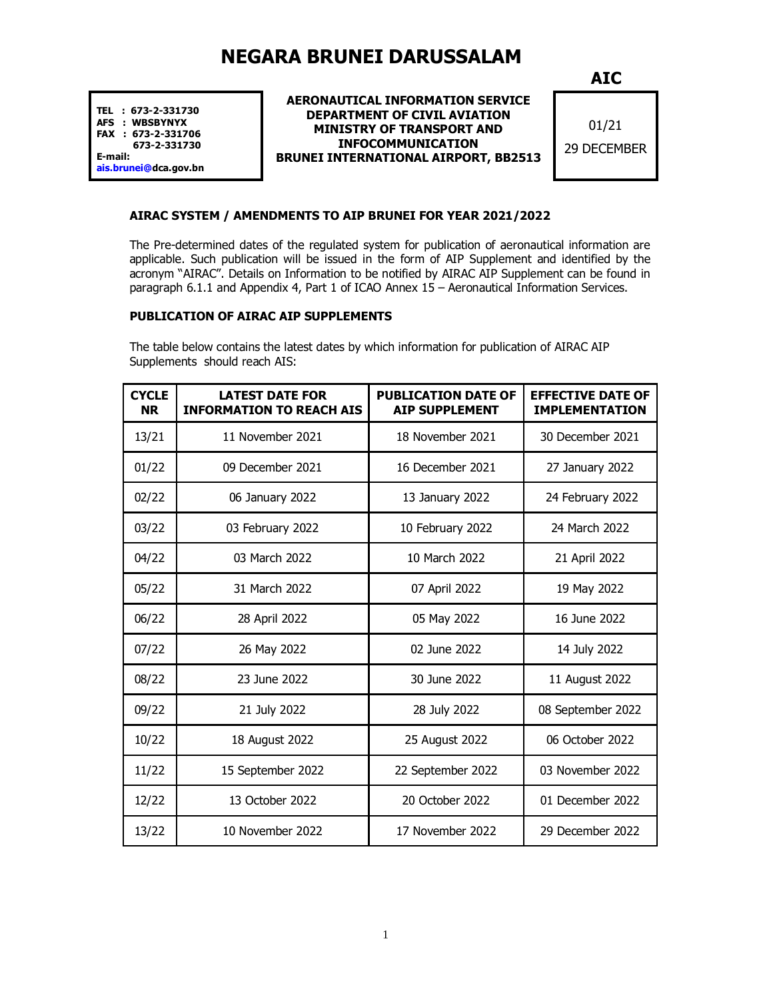# **NEGARA BRUNEI DARUSSALAM**

**TEL : 673-2-331730 AFS : WBSBYNYX FAX : 673-2-331706 673-2-331730 E-mail:**

**[ais.brun](mailto:ais.brunei@)ei@dca.gov.bn** 

#### **AERONAUTICAL INFORMATION SERVICE DEPARTMENT OF CIVIL AVIATION MINISTRY OF TRANSPORT AND INFOCOMMUNICATION BRUNEI INTERNATIONAL AIRPORT, BB2513**

**AIC**

01/21 29 DECEMBER

## **AIRAC SYSTEM / AMENDMENTS TO AIP BRUNEI FOR YEAR 2021/2022**

The Pre-determined dates of the regulated system for publication of aeronautical information are applicable. Such publication will be issued in the form of AIP Supplement and identified by the acronym "AIRAC". Details on Information to be notified by AIRAC AIP Supplement can be found in paragraph 6.1.1 and Appendix 4, Part 1 of ICAO Annex 15 – Aeronautical Information Services.

### **PUBLICATION OF AIRAC AIP SUPPLEMENTS**

The table below contains the latest dates by which information for publication of AIRAC AIP Supplements should reach AIS:

| <b>CYCLE</b><br><b>NR</b> | <b>LATEST DATE FOR</b><br><b>INFORMATION TO REACH AIS</b> | <b>PUBLICATION DATE OF</b><br><b>AIP SUPPLEMENT</b> | <b>EFFECTIVE DATE OF</b><br><b>IMPLEMENTATION</b> |
|---------------------------|-----------------------------------------------------------|-----------------------------------------------------|---------------------------------------------------|
| 13/21                     | 11 November 2021                                          | 18 November 2021                                    | 30 December 2021                                  |
| 01/22                     | 09 December 2021                                          | 16 December 2021                                    | 27 January 2022                                   |
| 02/22                     | 06 January 2022                                           | 13 January 2022                                     | 24 February 2022                                  |
| 03/22                     | 03 February 2022                                          | 10 February 2022                                    | 24 March 2022                                     |
| 04/22                     | 03 March 2022                                             | 10 March 2022                                       | 21 April 2022                                     |
| 05/22                     | 31 March 2022                                             | 07 April 2022                                       | 19 May 2022                                       |
| 06/22                     | 28 April 2022                                             | 05 May 2022                                         | 16 June 2022                                      |
| 07/22                     | 26 May 2022                                               | 02 June 2022                                        | 14 July 2022                                      |
| 08/22                     | 23 June 2022                                              | 30 June 2022                                        | 11 August 2022                                    |
| 09/22                     | 21 July 2022                                              | 28 July 2022                                        | 08 September 2022                                 |
| 10/22                     | 18 August 2022                                            | 25 August 2022                                      | 06 October 2022                                   |
| 11/22                     | 15 September 2022                                         | 22 September 2022                                   | 03 November 2022                                  |
| 12/22                     | 13 October 2022                                           | 20 October 2022                                     | 01 December 2022                                  |
| 13/22                     | 10 November 2022                                          | 17 November 2022                                    | 29 December 2022                                  |